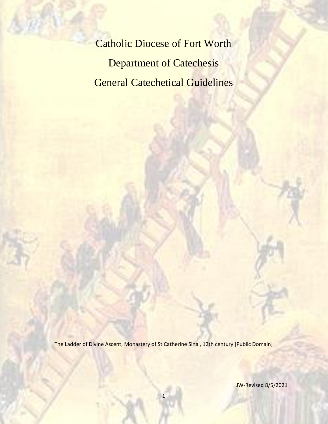Catholic Diocese of Fort Worth Department of Catechesis General Catechetical Guidelines

The Ladder of Divine Ascent, Monastery of St Catherine Sinai, 12th century [Public Domain]

1

JW-Revised 8/5/2021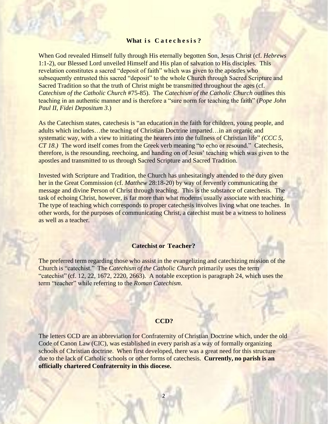### **What** is Catechesis?

When God revealed Himself fully through His eternally begotten Son, Jesus Christ (cf. *Hebrews* 1:1-2), our Blessed Lord unveiled Himself and His plan of salvation to His disciples. This revelation constitutes a sacred "deposit of faith" which was given to the apostles who subsequently entrusted this sacred "deposit" to the whole Church through Sacred Scripture and Sacred Tradition so that the truth of Christ might be transmitted throughout the ages (cf. *Catechism of the Catholic Church* #75-85). The *Catechism of the Catholic Church* outlines this teaching in an authentic manner and is therefore a "sure norm for teaching the faith" (*Pope John Paul II, Fidei Depositum 3*.)

As the Catechism states, catechesis is "an education in the faith for children, young people, and adults which includes…the teaching of Christian Doctrine imparted…in an organic and systematic way, with a view to initiating the hearers into the fullness of Christian life" *(CCC 5, CT 18.)* The word itself comes from the Greek verb meaning "to echo or resound." Catechesis, therefore, is the resounding, reechoing, and handing on of Jesus' teaching which was given to the apostles and transmitted to us through Sacred Scripture and Sacred Tradition.

Invested with Scripture and Tradition, the Church has unhesitatingly attended to the duty given her in the Great Commission (cf. *Matthew* 28:18-20) by way of fervently communicating the message and divine Person of Christ through teaching. This is the substance of catechesis. The task of echoing Christ, however, is far more than what moderns usually associate with teaching. The type of teaching which corresponds to proper cate chesis involves living what one teaches. In other words, for the purposes of communicating Christ, a catechist must be a witness to holiness as well as a teacher.

### **Catechist or Teacher?**

The preferred term regarding those who assist in the evangelizing and catechizing mission of the Church is "catechist." The *Catechism of the Catholic Church* primarily uses the term "catechist" (cf. 12, 22, 1672, 2220, 2663). A notable exception is paragraph 24, which uses the term "teacher" while referring to the *Roman Catechism*.

### **CCD?**

The letters CCD are an abbreviation for Confraternity of Christian Doctrine which, under the old Code of Canon Law (CIC), was established in every parish as a way of formally organizing schools of Christian doctrine. When first developed, there was a great need for this structure due to the lack of Catholic schools or other forms of catechesis. **Currently, no parish is an officially chartered Confraternity in this diocese.**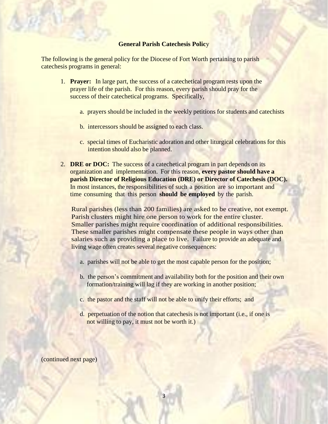## **General Parish Catechesis Polic**y

The following is the general policy for the Diocese of Fort Worth pertaining to parish catechesis programs in general:

- 1. **Prayer:** In large part, the success of a catechetical program rests upon the prayer life of the parish. For this reason, every parish should pray for the success of their catechetical programs. Specifically,
	- a. prayers should be included in the weekly petitions for students and catechists
	- b. intercessors should be assigned to each class.
	- c. special times of Eucharistic adoration and other liturgical celebrations for this intention should also be planned.
- 2. **DRE or DOC:** The success of a catechetical program in part depends on its organization and implementation. For this reason, **every pastor should have a parish Director of Religious Education (DRE) or Director of Catechesis (DOC).** In most instances, the responsibilities of such a position are so important and time consuming that this person **should be employed** by the parish.

Rural parishes (less than 200 families) are asked to be creative, not exempt. Parish clusters might hire one person to work for the entire cluster. Smaller parishes might require coordination of additional responsibilities. These smaller parishes might compensate these people in ways other than salaries such as providing a place to live. Failure to provide an adequate and living wage often creates several negative consequences:

- a. parishes will not be able to get the most capable person for the position;
- b. the person's commitment and availability both for the position and their own formation/training will lag if they are working in another position;
- c. the pastor and the staff will not be able to unify their efforts; and

3

d. perpetuation of the notion that catechesis is not important (i.e., if one is not willing to pay, it must not be worth it.)

(continued next page)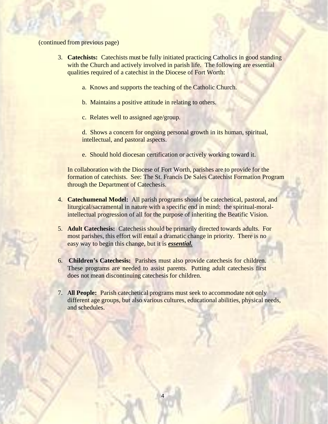### (continued from previous page)

- 3. **Catechists:** Catechists must be fully initiated practicing Catholics in good standing with the Church and actively involved in parish life. The following are essential qualities required of a catechist in the Diocese of Fort Worth:
	- a. Knows and supports the teaching of the Catholic Church.
	- b. Maintains a positive attitude in relating to others.
	- c. Relates well to assigned age/group.

d. Shows a concern for ongoing personal growth in its human, spiritual, intellectual, and pastoral aspects.

e. Should hold diocesan certification or actively working toward it.

In collaboration with the Diocese of Fort Worth, parishes are to provide for the formation of catechists. See: The St. Francis De Sales Catechist Formation Program through the Department of Catechesis.

- 4. **Catechumenal Model:** All parish programs should be catechetical, pastoral, and liturgical/sacramental in nature with a specific end in mind: the spiritual-moralintellectual progression of all for the purpose of inheriting the Beatific Vision.
- 5. **Adult Catechesis:** Catechesis should be primarily directed towards adults. For most parishes, this effort will entail a dramatic change in priority. There is no easy way to begin this change, but it is *essential.*
- 6. **Children's Catechesis:** Parishes must also provide catechesis for children. These programs are needed to assist parents. Putting adult catechesis first does not mean discontinuing catechesis for children.
- 7. **All People:** Parish catechetical programs must seek to accommodate not only different age groups, but also various cultures, educational abilities, physical needs, and schedules.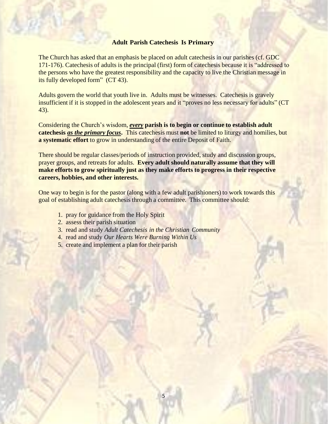### **Adult Parish Catechesis Is Primary**

The Church has asked that an emphasis be placed on adult catechesis in our parishes (cf. GDC 171-176). Catechesis of adults is the principal (first) form of catechesis because it is "addressed to the persons who have the greatest responsibility and the capacity to live the Christian message in its fully developed form" (CT 43).

Adults govern the world that youth live in. Adults must be witnesses. Catechesis is gravely insufficient if it is stopped in the adolescent years and it "proves no less necessary for adults" (CT 43).

Considering the Church's wisdom, *every* **parish is to begin or continue to establish adult catechesis** *as the primary focus***.** This catechesis must **not** be limited to liturgy and homilies, but **a systematic effort** to grow in understanding of the entire Deposit of Faith.

There should be regular classes/periods of instruction provided, study and discussion groups, prayer groups, and retreats for adults. **Every adult should naturally assume that they will make efforts to grow spiritually just as they make efforts to progress in their respective careers, hobbies, and other interests.**

One way to begin is for the pastor (along with a few adult parishioners) to work towards this goal of establishing adult catechesis through a committee. This committee should:

- 1. pray for guidance from the Holy Spirit
- 2. assess their parish situation
- 3. read and study *Adult Catechesis in the Christian Community*
- 4. read and study *Our Hearts Were Burning Within Us*
- 5. create and implement a plan for their parish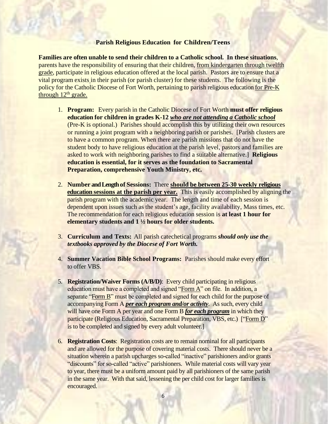### **Parish Religious Education for Children/Teens**

**Families are often unable to send their children to a Catholic school. In these situations**, parents have the responsibility of ensuring that their children, from kindergarten through twelfth grade, participate in religious education offered at the local parish. Pastors are to ensure that a vital program exists in their parish (or parish cluster) for these students. The following is the policy for the Catholic Diocese of Fort Worth, pertaining to parish religious education for Pre-K through  $12<sup>th</sup>$  grade.

- 1. **Program:** Every parish in the Catholic Diocese of Fort Worth **must offer religious education for children in grades K-12** *who are not attending a Catholic school* (Pre-K is optional.) Parishes should accomplish this by utilizing their own resources or running a joint program with a neighboring parish or parishes. [Parish clusters are to have a common program. When there are parish missions that do not have the student body to have religious education at the parish level, pastors and families are asked to work with neighboring parishes to find a suitable alternative.] **Religious education is essential, for it serves as the foundation to Sacramental Preparation, comprehensive Youth Ministry, etc.**
- 2. **Number and Length of Sessions:** There **should be between 25-30 weekly religious education sessions at the parish per year.** This is easily accomplished by aligning the parish program with the academic year. The length and time of each session is dependent upon issues such as the student's age, facility availability, Mass times, etc. The recommendation for each religious education session is **at least 1 hour for elementary students and 1 ½ hours for older students.**
- 3. **Curriculum and Texts:** All parish catechetical programs *should only use the textbooks approved by the Diocese of Fort Worth.*
- 4. **Summer Vacation Bible School Programs:** Parishes should make every effort to offer VBS.
- 5. **Registration/Waiver Forms (A/B/D)**: Every child participating in religious education must have a completed and signed "Form A" on file. In addition, a separate "Form B" must be completed and signed for each child for the purpose of accompanying Form A *per each program and/or activity*. As such, every child will have one Form A per year and one Form B *for each program* in which they participate (Religious Education, Sacramental Preparation, VBS, etc.) ["Form D" is to be completed and signed by every adult volunteer.]
- 6. **Registration Costs**: Registration costs are to remain nominal for all participants and are allowed for the purpose of covering material costs. There should never be a situation wherein a parish upcharges so-called "inactive" parishioners and/or grants "discounts" for so-called "active" parishioners. While material costs will vary year to year, there must be a uniform amount paid by all parishioners of the same parish in the same year. With that said, lessening the per child cost for larger families is encouraged.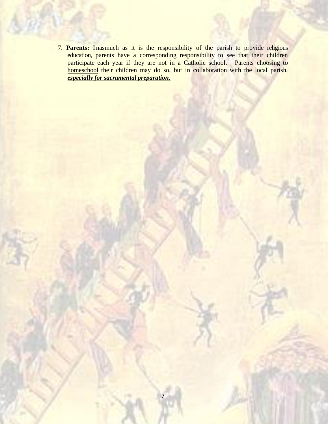7. **Parents:** Inasmuch as it is the responsibility of the parish to provide religious education, parents have a corresponding responsibility to see that their children participate each year if they are not in a Catholic school. Parents choosing to homeschool their children may do so, but in collaboration with the local parish, *especially for sacramental preparation.*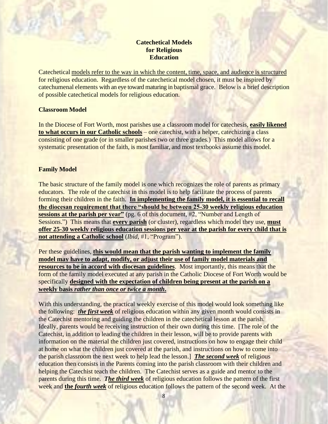## **Catechetical Models for Religious Education**

Catechetical models refer to the way in which the content, time, space, and audience is structured for religious education. Regardless of the catechetical model chosen, it must be inspired by catechumenal elements with an eye toward maturing in baptismal grace. Below is a brief description of possible catechetical models for religious education.

## **Classroom Model**

In the Diocese of Fort Worth, most parishes use a classroom model for catechesis, **easily likened to what occurs in our Catholic schools** – one catechist, with a helper, catechizing a class consisting of one grade (or in smaller parishes two or three grades.) This model allows for a systematic presentation of the faith, is most familiar, and most textbooks assume this model.

## **Family Model**

The basic structure of the family model is one which recognizes the role of parents as primary educators. The role of the catechist in this model is to help facilitate the process of parents forming their children in the faith. **In implementing the family model, it is essential to recall the diocesan requirement that there "should be between 25-30 weekly religious education sessions at the parish per year"** (pg. 6 of this document, #2, "Number and Length of Sessions.") This means that **every parish** (or cluster), regardless which model they use, **must offer 25-30 weekly religious education sessions per year at the parish for every child that is not attending a Catholic school** (*Ibid,* #1, "Program").

Per these guidelines, **this would mean that the parish wanting to implement the family model may have to adapt, modify, or adjust their use of family model materials and resources to be in accord with diocesan guidelines**. Most importantly, this means that the form of the family model executed at any parish in the Catholic Diocese of Fort Worth would be specifically **designed with the expectation of children being present at the parish on a weekly basis** *rather than once or twice a month***.** 

With this understanding, the practical weekly exercise of this model would look something like the following: *the first week* of religious education within any given month would consists in the Catechist mentoring and guiding the children in the catechetical lesson at the parish. Ideally, parents would be receiving instruction of their own during this time. [The role of the Catechist, in addition to leading the children in their lesson, will be to provide parents with information on the material the children just covered, instructions on how to engage their child at home on what the children just covered at the parish, and instructions on how to come into the parish classroom the next week to help lead the lesson.] *The second week* of religious education then consists in the Parents coming into the parish classroom with their children and helping the Catechist teach the children. The Catechist serves as a guide and mentor to the parents during this time. *The third week* of religious education follows the pattern of the first week and **the** *fourth week* of religious education follows the pattern of the second week. At the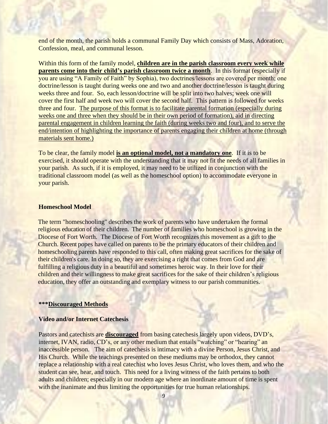end of the month, the parish holds a communal Family Day which consists of Mass, Adoration, Confession, meal, and communal lesson.

Within this form of the family model, **children are in the parish classroom every week while parents come into their child's parish classroom twice a month**. In this format (especially if you are using "A Family of Faith" by Sophia), two doctrines/lessons are covered per month; one doctrine/lesson is taught during weeks one and two and another doctrine/lesson is taught during weeks three and four. So, each lesson/doctrine will be split into two halves; week one will cover the first half and week two will cover the second half. This pattern is followed for weeks three and four. The purpose of this format is to facilitate parental formation (especially during weeks one and three when they should be in their own period of formation), aid in directing parental engagement in children learning the faith (during weeks two and four), and to serve the end/intention of highlighting the importance of parents engaging their children at home (through materials sent home.)

To be clear, the family model **is an optional model, not a mandatory one**. If it is to be exercised, it should operate with the understanding that it may not fit the needs of all families in your parish. As such, if it is employed, it may need to be utilized in conjunction with the traditional classroom model (as well as the homeschool option) to accommodate everyone in your parish.

## **Homeschool Model**

The term "homeschooling" describes the work of parents who have undertaken the formal religious education of their children. The number of families who homeschool is growing in the Diocese of Fort Worth. The Diocese of Fort Worth recognizes this movement as a gift to the Church. Recent popes have called on parents to be the primary educators of their children and homeschooling parents have responded to this call, often making great sacrifices for the sake of their children's care. In doing so, they are exercising a right that comes from God and are fulfilling a religious duty in a beautiful and sometimes heroic way. In their love for their children and their willingness to make great sacrifices for the sake of their children's religious education, they offer an outstanding and exemplary witness to our parish communities.

### **\*\*\*Discouraged Methods**

## **Video and/or Internet Catechesis**

Pastors and catechists are **discouraged** from basing catechesis largely upon videos, DVD's, internet, IVAN, radio, CD's, or any other medium that entails "watching" or "hearing" an inaccessible person. The aim of catechesis is intimacy with a divine Person, Jesus Christ, and His Church. While the teachings presented on these mediums may be orthodox, they cannot replace a relationship with a real catechist who loves Jesus Christ, who loves them, and who the student can see, hear, and touch. This need for a living witness of the faith pertains to both adults and children; especially in our modern age where an inordinate amount of time is spent with the inanimate and thus limiting the opportunities for true human relationships.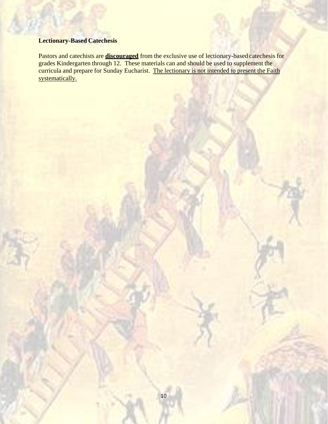## **Lectionary-Based Catechesis**

Pastors and catechists are **discouraged** from the exclusive use of lectionary-based catechesis for grades Kindergarten through 12. These materials can and should be used to supplement the curricula and prepare for Sunday Eucharist. The lectionary is not intended to present the Faith systematically.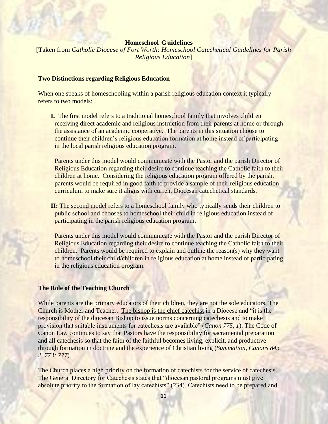### **Homeschool Guidelines**

[Taken from *Catholic Diocese of Fort Worth: Homeschool Catechetical Guidelines for Parish Religious Education*]

### **Two Distinctions regarding Religious Education**

When one speaks of homeschooling within a parish religious education context it typically refers to two models:

**I.** The first model refers to a traditional homeschool family that involves children receiving direct academic and religious instruction from their parents at home or through the assistance of an academic cooperative. The parents in this situation choose to continue their children's religious education formation at home instead of participating in the local parish religious education program.

Parents under this model would communicate with the Pastor and the parish Director of Religious Education regarding their desire to continue teaching the Catholic faith to their children at home. Considering the religious education program offered by the parish, parents would be required in good faith to provide a sample of their religious education curriculum to make sure it aligns with current Diocesan catechetical standards.

**II:** The second model refers to a homeschool family who typically sends their children to public school and chooses to homeschool their child in religious education instead of participating in the parish religious education program.

Parents under this model would communicate with the Pastor and the parish Director of Religious Education regarding their desire to continue teaching the Catholic faith to their children. Parents would be required to explain and outline the reason(s) why they want to homeschool their child/children in religious education at home instead of participating in the religious education program.

### **The Role of the Teaching Church**

While parents are the primary educators of their children, they are not the sole educators. The Church is Mother and Teacher. The bishop is the chief catechist in a Diocese and "it is the responsibility of the diocesan Bishop to issue norms concerning catechesis and to make provision that suitable instruments for catechesis are available" (*Canon 775, 1*). The Code of Canon Law continues to say that Pastors have the responsibility for sacramental preparation and all catechesis so that the faith of the faithful becomes living, explicit, and productive through formation in doctrine and the experience of Christian living (*Summation, Canons 843 2, 773; 777*).

The Church places a high priority on the formation of catechists for the service of catechesis. The General Directory for Catechesis states that "diocesan pastoral programs must give absolute priority to the formation of lay catechists" (234). Catechists need to be prepared and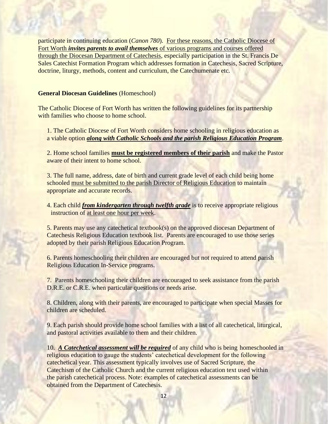participate in continuing education (*Canon 780*). For these reasons, the Catholic Diocese of Fort Worth *invites parents to avail themselves* of various programs and courses offered through the Diocesan Department of Catechesis, especially participation in the St. Francis De Sales Catechist Formation Program which addresses formation in Catechesis, Sacred Scripture, doctrine, liturgy, methods, content and curriculum, the Catechumenate etc.

### **General Diocesan Guidelines** (Homeschool)

The Catholic Diocese of Fort Worth has written the following guidelines for its partnership with families who choose to home school.

1. The Catholic Diocese of Fort Worth considers home schooling in religious education as a viable option *along with Catholic Schools and the parish Religious Education Program*.

2. Home school families **must be registered members of their parish** and make the Pastor aware of their intent to home school.

3. The full name, address, date of birth and current grade level of each child being home schooled must be submitted to the parish Director of Religious Education to maintain appropriate and accurate records.

4. Each child *from kindergarten through twelfth grade* is to receive appropriate religious instruction of at least one hour per week.

5. Parents may use any catechetical textbook(s) on the approved diocesan Department of Catechesis Religious Education textbook list. Parents are encouraged to use those series adopted by their parish Religious Education Program.

6. Parents homeschooling their children are encouraged but not required to attend parish Religious Education In-Service programs.

7. Parents homeschooling their children are encouraged to seek assistance from the parish D.R.E. or C.R.E. when particular questions or needs arise.

8. Children, along with their parents, are encouraged to participate when special Masses for children are scheduled.

9. Each parish should provide home school families with a list of all catechetical, liturgical, and pastoral activities available to them and their children.

10. *A Catechetical assessment will be required* of any child who is being homeschooled in religious education to gauge the students' catechetical development for the following catechetical year. This assessment typically involves use of Sacred Scripture, the Catechism of the Catholic Church and the current religious education text used within the parish catechetical process. Note: examples of catechetical assessments can be obtained from the Department of Catechesis.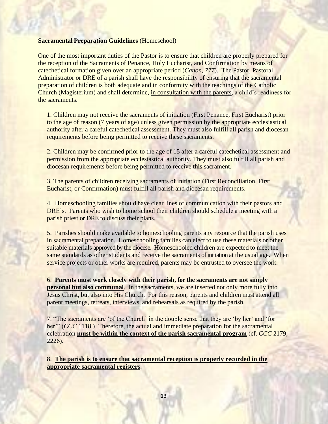## **Sacramental Preparation Guidelines** (Homeschool)

One of the most important duties of the Pastor is to ensure that children are properly prepared for the reception of the Sacraments of Penance, Holy Eucharist, and Confirmation by means of catechetical formation given over an appropriate period (*Canon, 777*). The Pastor, Pastoral Administrator or DRE of a parish shall have the responsibility of ensuring that the sacramental preparation of children is both adequate and in conformity with the teachings of the Catholic Church (Magisterium) and shall determine, in consultation with the parents, a child's readiness for the sacraments.

1. Children may not receive the sacraments of initiation (First Penance, First Eucharist) prior to the age of reason (7 years of age) unless given permission by the appropriate ecclesiastical authority after a careful catechetical assessment. They must also fulfill all parish and diocesan requirements before being permitted to receive these sacraments.

2. Children may be confirmed prior to the age of 15 after a careful catechetical assessment and permission from the appropriate ecclesiastical authority. They must also fulfill all parish and diocesan requirements before being permitted to receive this sacrament.

3. The parents of children receiving sacraments of initiation (First Reconciliation, First Eucharist, or Confirmation) must fulfill all parish and diocesan requirements.

4. Homeschooling families should have clear lines of communication with their pastors and DRE's. Parents who wish to home school their children should schedule a meeting with a parish priest or DRE to discuss their plans.

5. Parishes should make available to homeschooling parents any resource that the parish uses in sacramental preparation. Homeschooling families can elect to use these materials or other suitable materials approved by the diocese. Homeschooled children are expected to meet the same standards as other students and receive the sacraments of initiation at the usual age. When service projects or other works are required, parents may be entrusted to oversee the work.

6. **Parents must work closely with their parish, for the sacraments are not simply personal but also communal**. In the sacraments, we are inserted not only more fully into Jesus Christ, but also into His Church. For this reason, parents and children must attend all parent meetings, retreats, interviews, and rehearsals as required by the parish.

7. "The sacraments are 'of the Church' in the double sense that they are 'by her' and 'for her'" (*CCC* 1118.) Therefore, the actual and immediate preparation for the sacramental celebration **must be within the context of the parish sacramental program** (cf. *CCC* 2179, 2226).

8. **The parish is to ensure that sacramental reception is properly recorded in the appropriate sacramental registers**.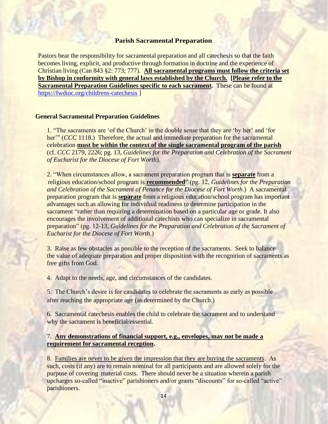### **Parish Sacramental Preparation**

Pastors bear the responsibility for sacramental preparation and all catechesis so that the faith becomes living, explicit, and productive through formation in doctrine and the experience of Christian living (Can 843 §2: 773; 777). **All sacramental programs must follow the criteria set by Bishop in conformity with general laws established by the Church. [Please refer to the Sacramental Preparation Guidelines specific to each sacrament.** These can be found at <https://fwdioc.org/childrens-catechesis> ]

### **General Sacramental Preparation Guidelines**

1. "The sacraments are 'of the Church' in the double sense that they are 'by her' and 'for her'" (*CCC* 1118.) Therefore, the actual and immediate preparation for the sacramental celebration **must be within the context of the single sacramental program of the parish** (cf. *CCC* 2179, 2226; pg. 13, *Guidelines for the Preparation and Celebration of the Sacrament of Eucharist for the Diocese of Fort Worth*).

2. "When circumstances allow, a sacrament preparation program that is **separate** from a religious education/school program is **recommended**" (pg. 12, *Guidelines for the Preparation and Celebration of the Sacrament of Penance for the Diocese of Fort Worth*.) A sacramental preparation program that is **separate** from a religious education/school program has important advantages such as allowing for individual readiness to determine participation in the sacrament "rather than requiring a determination based on a particular age or grade. It also encourages the involvement of additional catechists who can specialize in sacramental preparation" (pg. 12-13, *Guidelines for the Preparation and Celebration of the Sacrament of Eucharist for the Diocese of Fort Worth*.)

3.Raise as few obstacles as possible to the reception of the sacraments. Seek to balance the value of adequate preparation and proper disposition with the recognition of sacraments as free gifts from God.

4. Adapt to the needs, age, and circumstances of the candidates.

5. The Church's desire is for candidates to celebrate the sacraments as early as possible after reaching the appropriate age (as determined by the Church.)

6. Sacramental catechesis enables the child to celebrate the sacrament and to understand why the sacrament is beneficial/essential.

## 7. **Any demonstrations of financial support, e.g., envelopes, may not be made a requirement for sacramental reception.**

8. Families are never to be given the impression that they are buying the sacraments. As such, costs (if any) are to remain nominal for all participants and are allowed solely for the purpose of covering material costs. There should never be a situation wherein a parish upcharges so-called "inactive" parishioners and/or grants "discounts" for so-called "active" parishioners.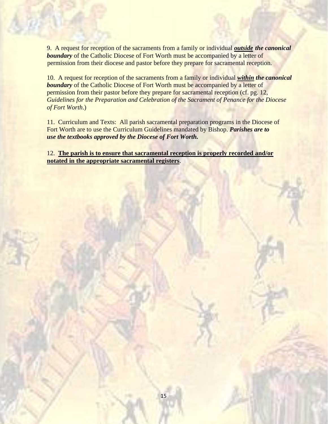9. A request for reception of the sacraments from a family or individual *outside the canonical boundary* of the Catholic Diocese of Fort Worth must be accompanied by a letter of permission from their diocese and pastor before they prepare for sacramental reception.

10. A request for reception of the sacraments from a family or individual *within the canonical boundary* of the Catholic Diocese of Fort Worth must be accompanied by a letter of permission from their pastor before they prepare for sacramental reception (cf. pg. 12, *Guidelines for the Preparation and Celebration of the Sacrament of Penance for the Diocese of Fort Worth*.)

11. Curriculum and Texts: All parish sacramental preparation programs in the Diocese of Fort Worth are to use the Curriculum Guidelines mandated by Bishop. *Parishes are to use the textbooks approved by the Diocese of Fort Worth.*

12. **The parish is to ensure that sacramental reception is properly recorded and/or notated in the appropriate sacramental registers**.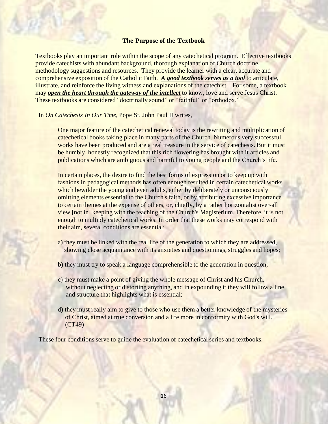### **The Purpose of the Textbook**

Textbooks play an important role within the scope of any catechetical program. Effective textbooks provide catechists with abundant background, thorough explanation of Church doctrine, methodology suggestions and resources. They provide the learner with a clear, accurate and comprehensive exposition of the Catholic Faith. *A good textbook serves as a tool* to articulate, illustrate, and reinforce the living witness and explanations of the catechist. For some, a textbook may *open the heart through the gateway of the intellect* to know, love and serve Jesus Christ. These textbooks are considered "doctrinally sound" or "faithful" or "orthodox."

In *On Catechesis In Our Time*, Pope St. John Paul II writes,

One major feature of the catechetical renewal today is the rewriting and multiplication of catechetical books taking place in many parts of the Church. Numerous very successful works have been produced and are a real treasure in the service of catechesis. But it must be humbly, honestly recognized that this rich flowering has brought with it articles and publications which are ambiguous and harmful to young people and the Church's life.

In certain places, the desire to find the best forms of expression or to keep up with fashions in pedagogical methods has often enough resulted in certain catechetical works which bewilder the young and even adults, either by deliberately or unconsciously omitting elements essential to the Church's faith, or by attributing excessive importance to certain themes at the expense of others, or, chiefly, by a rather horizontalist over-all view [not in] keeping with the teaching of the Church's Magisterium. Therefore, it is not enough to multiply catechetical works. In order that these works may correspond with their aim, several conditions are essential:

- a) they must be linked with the real life of the generation to which they are addressed, showing close acquaintance with its anxieties and questionings, struggles and hopes;
- b) they must try to speak a language comprehensible to the generation in question;
- c) they must make a point of giving the whole message of Christ and his Church, without neglecting or distorting anything, and in expounding it they will follow a line and structure that highlights what is essential;
- d) they must really aim to give to those who use them a better knowledge of the mysteries of Christ, aimed at true conversion and a life more in conformity with God's will. (CT49)

These four conditions serve to guide the evaluation of cate chetical series and textbooks.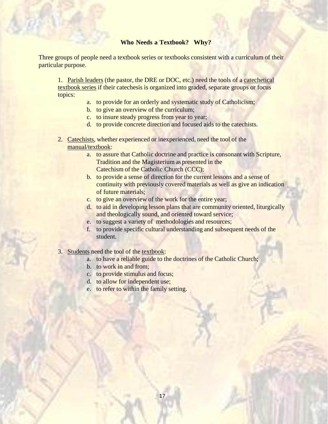## **Who Needs a Textbook? Why?**

Three groups of people need a textbook series or textbooks consistent with a curriculum of their particular purpose.

1. Parish leaders (the pastor, the DRE or DOC, etc.) need the tools of a catechetical textbook series if their catechesis is organized into graded, separate groups or focus topics:

- a. to provide for an orderly and systematic study of Catholicism;
- b. to give an overview of the curriculum;
- c. to insure steady progress from year to year;
- d. to provide concrete direction and focused aids to the catechists.
- 2. Catechists, whether experienced or inexperienced, need the tool of the manual/textbook:
	- a. to assure that Catholic doctrine and practice is consonant with Scripture, Tradition and the Magisterium as presented in the Catechism of the Catholic Church (CCC);
	- b. to provide a sense of direction for the current lessons and a sense of continuity with previously covered materials as well as give an indication of future materials;
	- c. to give an overview of the work for the entire year;
	- d. to aid in developing lesson plans that are community oriented, liturgically and theologically sound, and oriented toward service;
	- e. to suggest a variety of methodologies and resources;
	- f. to provide specific cultural understanding and subsequent needs of the student.
- 3. Students need the tool of the textbook:
	- a. to have a reliable guide to the doctrines of the Catholic Church;
	- b. to work in and from;
	- c. to provide stimulus and focus;
	- d. to allow for independent use;
	- e. to refer to within the family setting.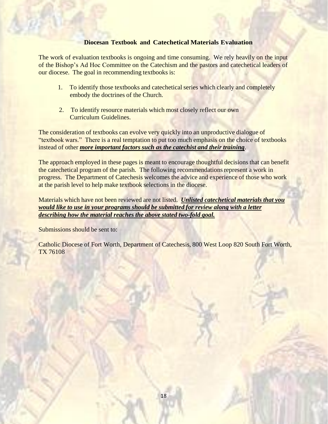## **Diocesan Textbook and Catechetical Materials Evaluation**

The work of evaluation textbooks is ongoing and time consuming. We rely heavily on the input of the Bishop's Ad Hoc Committee on the Catechism and the pastors and catechetical leaders of our diocese. The goal in recommending textbooks is:

- 1. To identify those textbooks and catechetical series which clearly and completely embody the doctrines of the Church.
- 2. To identify resource materials which most closely reflect our own Curriculum Guidelines.

The consideration of textbooks can evolve very quickly into an unproductive dialogue of "textbook wars." There is a real temptation to put too much emphasis on the choice of textbooks instead of other *more important factors such as the catechist and their training*.

The approach employed in these pages is meant to encourage thoughtful decisions that can benefit the catechetical program of the parish. The following recommendations represent a work in progress. The Department of Catechesis welcomes the advice and experience of those who work at the parish level to help make textbook selections in the diocese.

Materials which have not been reviewed are not listed. *Unlisted catechetical materials that you would like to use in your programs should be submitted for review along with a letter describing how the material reaches the above stated two-fold goal.*

Submissions should be sent to:

Catholic Diocese of Fort Worth, Department of Catechesis, 800 West Loop 820 South Fort Worth, TX 76108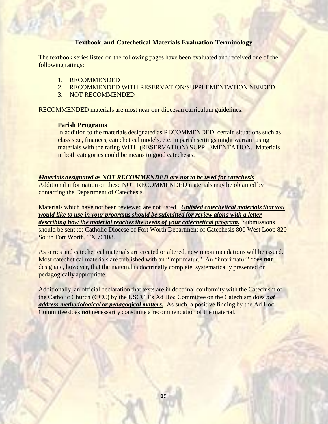## **Textbook and Catechetical Materials Evaluation Terminology**

The textbook series listed on the following pages have been evaluated and received one of the following ratings:

- 1. RECOMMENDED
- 2. RECOMMENDED WITH RESERVATION/SUPPLEMENTATION NEEDED
- 3. NOT RECOMMENDED

RECOMMENDED materials are most near our diocesan curriculum guidelines.

### **Parish Programs**

In addition to the materials designated as RECOMMENDED, certain situations such as class size, finances, catechetical models, etc. in parish settings might warrant using materials with the rating WITH (RESERVATION) SUPPLEMENTATION. Materials in both categories could be means to good catechesis.

### *Materials designated as NOT RECOMMENDED are not to be used for catechesis*.

Additional information on these NOT RECOMMENDED materials may be obtained by contacting the Department of Catechesis.

Materials which have not been reviewed are not listed. *Unlisted catechetical materials that you would like to use in your programs should be submitted for review along with a letter describing how the material reaches the needs of your catechetical program.* Submissions should be sent to: Catholic Diocese of Fort Worth Department of Catechesis 800 West Loop 820 South Fort Worth, TX 76108.

As series and catechetical materials are created or altered, new recommendations will be issued. Most catechetical materials are published with an "imprimatur." An "imprimatur" does **not** designate, however, that the material is doctrinally complete, systematically presented or pedagogically appropriate.

Additionally, an official declaration that texts are in doctrinal conformity with the Catechism of the Catholic Church (CCC) by the USCCB's Ad Hoc Committee on the Catechism does *not address methodological or pedagogical matters.* As such, a positive finding by the Ad Hoc Committee does *not* necessarily constitute a recommendation of the material.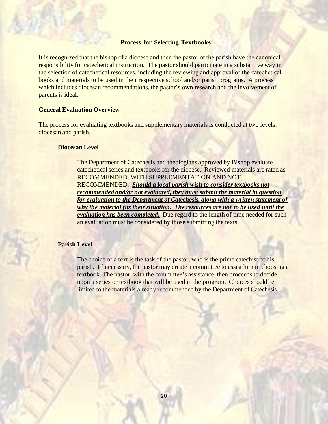### **Process for Selecting Textbooks**

It is recognized that the bishop of a diocese and then the pastor of the parish have the canonical responsibility for catechetical instruction. The pastor should participate in a substantive way in the selection of catechetical resources, including the reviewing and approval of the catechetical books and materials to be used in their respective school and/or parish programs. A process which includes diocesan recommendations, the pastor's own research and the involvement of parents is ideal.

## **General Evaluation Overview**

The process for evaluating textbooks and supplementary materials is conducted at two levels: diocesan and parish.

### **Diocesan Level**

The Department of Catechesis and theologians approved by Bishop evaluate catechetical series and textbooks for the diocese. Reviewed materials are rated as RECOMMENDED, WITH SUPPLEMENTATION AND NOT RECOMMENDED. *Should a local parish wish to consider textbooks not recommended and/or not evaluated, they must submit the material in question for evaluation to the Department of Catechesis, along with a written statement of why the material fits their situation. The resources are not to be used until the evaluation has been completed.* Due regard to the length of time needed for such an evaluation must be considered by those submitting the texts.

## **Parish Level**

The choice of a text is the task of the pastor, who is the prime catechist of his parish. I f necessary, the pastor may create a committee to assist him in choosing a textbook. The pastor, with the committee's assistance, then proceeds to decide upon a series or textbook that will be used in the program. Choices should be limited to the materials already recommended by the Department of Catechesis.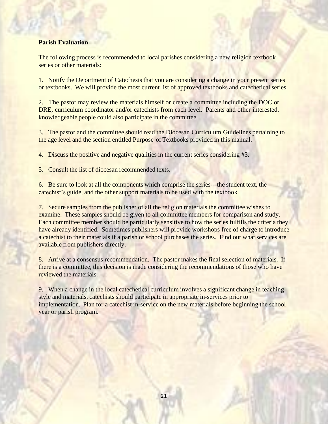## **Parish Evaluation**

The following process is recommended to local parishes considering a new religion textbook series or other materials:

1. Notify the Department of Catechesis that you are considering a change in your present series or textbooks. We will provide the most current list of approved textbooks and catechetical series.

2. The pastor may review the materials himself or create a committee including the DOC or DRE, curriculum coordinator and/or catechists from each level. Parents and other interested, knowledgeable people could also participate in the committee.

3. The pastor and the committee should read the Diocesan Curriculum Guidelines pertaining to the age level and the section entitled Purpose of Textbooks provided in this manual.

4. Discuss the positive and negative qualities in the current series considering #3.

5. Consult the list of diocesan recommended texts.

6. Be sure to look at all the components which comprise the series---the student text, the catechist's guide, and the other support materials to be used with the textbook.

7. Secure samples from the publisher of all the religion materials the committee wishes to examine. These samples should be given to all committee members for comparison and study. Each committee member should be particularly sensitive to how the series fulfills the criteria they have already identified. Sometimes publishers will provide workshops free of charge to introduce a catechist to their materials if a parish or school purchases the series. Find out what services are available from publishers directly.

8. Arrive at a consensus recommendation. The pastor makes the final selection of materials. If there is a committee, this decision is made considering the recommendations of those who have reviewed the materials.

9. When a change in the local catechetical curriculum involves a significant change in teaching style and materials, catechists should participate in appropriate in-services prior to implementation. Plan for a catechist in-service on the new materials before beginning the school year or parish program.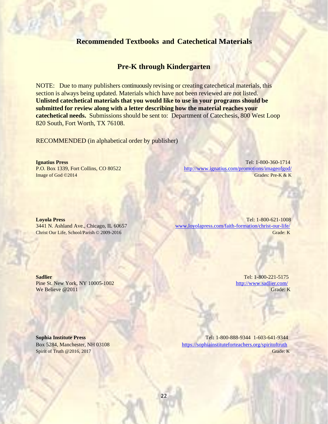## **Recommended Textbooks and Catechetical Materials**

## **Pre-K through Kindergarten**

NOTE: Due to many publishers continuously revising or creating catechetical materials, this section is always being updated. Materials which have not been reviewed are not listed. **Unlisted catechetical materials that you would like to use in your programs should be submitted for review along with a letter describing how the material reaches your catechetical needs.** Submissions should be sent to: Department of Catechesis, 800 West Loop 820 South, Fort Worth, TX 76108.

RECOMMENDED (in alphabetical order by publisher)

**Ignatius Press** Tel: 1-800-360-1714 P.O. Box 1339, Fort Collins, CO 80522 <http://www.ignatius.com/promotions/imageofgod/> Image of God ©2014 Grades: Pre-K & K

**Loyola Press** Tel: 1-800-621-1008 3441 N. Ashland Ave., Chicago, IL 60657 [www.loyolapress.com/faith-formation/christ-our-life/](http://www.loyolapress.com/faith-formation/christ-our-life/) Christ Our Life, School/Parish © 2009-2016 Grade: K

**Sadlier Tel: 1-800-221-5175** Pine St. New York, NY 10005-1002 <http://www.sadlier.com/> We Believe @2011 Grade: K

**Sophia Institute Press** Tel**:** 1-800-888-9344 1-603-641-9344 Box 5284, Manchester, NH 03108 <https://sophiainstituteforteachers.org/spiritoftruth> Spirit of Truth @2016, 2017 Grade: K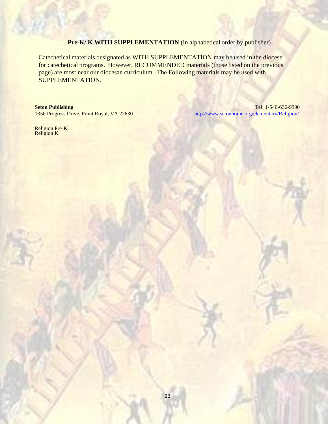## **Pre-K/ K WITH SUPPLEMENTATION** (in alphabetical order by publisher)

Catechetical materials designated as WITH SUPPLEMENTATION may be used in the diocese for catechetical programs. However, RECOMMENDED materials (those listed on the previous page) are most near our diocesan curriculum. The Following materials may be used with SUPPLEMENTATION.

**Seton Publishing** Tel: 1-540-636-9990 1350 Progress Drive, Front Royal, VA 22630 <http://www.setonhome.org/elementary/Religion/>

Religion Pre-K Religion K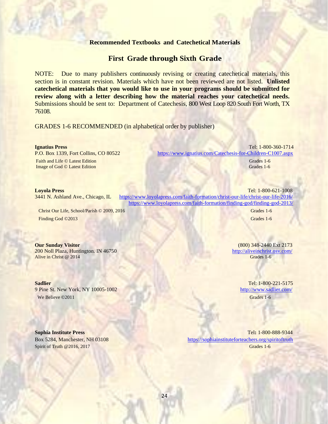### **Recommended Textbooks and Catechetical Materials**

## **First Grade through Sixth Grade**

NOTE: Due to many publishers continuously revising or creating catechetical materials, this section is in constant revision. Materials which have not been reviewed are not listed. **Unlisted catechetical materials that you would like to use in your programs should be submitted for review along with a letter describing how the material reaches your catechetical needs.** Submissions should be sent to: Department of Catechesis, 800 West Loop 820 South Fort Worth, TX 76108.

GRADES 1-6 RECOMMENDED (in alphabetical order by publisher)

Image of God © Latest Edition

**Ignatius Press** Tel: 1-800-360-1714 P.O. Box 1339, Fort Collins, CO 80522 <https://www.ignatius.com/Catechesis-for-Children-C1007.aspx> Faith and Life © Latest Edition Grades 1-6

Grades 1-6

### **Loyola Press** Tel: 1-800-621-1008

3441 N. Ashland Ave., Chicago, IL <https://www.loyolapress.com/faith-formation/christ-our-life/christ-our-life-2016/> <https://www.loyolapress.com/faith-formation/finding-god/finding-god-2013/>

Christ Our Life, School/Parish © 2009, 2016 Grades 1-6 Finding God ©2013 Grades 1-6

200 Noll Plaza, Huntington. IN 46750 <http://aliveinchrist.osv.com/><br>
Alive in Christ @ 2014 **http://aliveinchrist.osv.com/**<br>
Grades 1-6 Alive in Christ  $@ 2014$ 

**Sadlier** Tel: 1-800-221-5175 9 Pine St. New York, NY 10005-1002 <http://www.sadlier.com/> We Believe ©2011 Grades 1-6

**Our Sunday Visitor** (800) 348-2440 Ext 2173

**Sophia Institute Press** Tel**:** 1-800-888-9344 Box 5284, Manchester, NH 03108 <https://sophiainstituteforteachers.org/spiritoftruth> Spirit of Truth @2016, 2017 Grades 1-6

24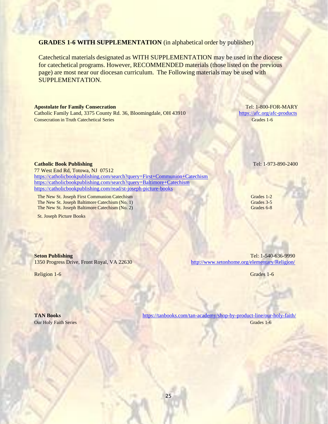25

## **GRADES 1-6 WITH SUPPLEMENTATION** (in alphabetical order by publisher)

Catechetical materials designated as WITH SUPPLEMENTATION may be used in the diocese for catechetical programs. However, RECOMMENDED materials (those listed on the previous page) are most near our diocesan curriculum. The Following materials may be used with SUPPLEMENTATION.

### **Apostolate for Family Consecration** Tel: 1-800-FOR-MARY

77 West End Rd, Totowa, NJ 07512

Catholic Family Land, 3375 County Rd. 36, Bloomingdale, OH 43910 <https://afc.org/afc-products> **Consecration in Truth Catechetical Series Grades 1-6** Grades 1-6

**Catholic Book Publishing** Tel: 1-973-890-2400

Religion 1-6 Grades 1-6 Grades 1-6

**Seton Publishing** Tel: 1-540-636-9990 1350 Progress Drive, Front Royal, VA 22630 <http://www.setonhome.org/elementary/Religion/>

**TAN Books <https://tanbooks.com/tan-academy/shop-by-product-line/our-holy-faith/> Our Holy Faith Series** Grades 1-6

### <https://catholicbookpublishing.com/search?query=First+Communion+Catechism> <https://catholicbookpublishing.com/search?query=Baltimore+Catechism> <https://catholicbookpublishing.com/read/st-joseph-picture-books>

The New St. Joseph First Communion Catechism Grades 1-2 The New St. Joseph Baltimore Catechism (No. 1) Grades 3-5 The New St. Joseph Baltimore Catechism (No. 2) Grades 6-8

St. Joseph Picture Books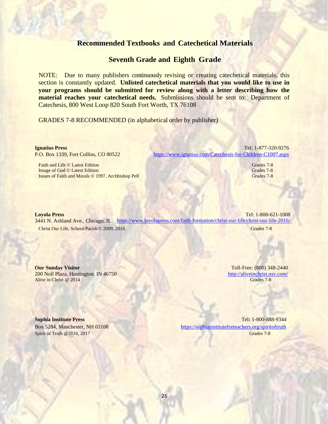## **Recommended Textbooks and Catechetical Materials**

## **Seventh Grade and Eighth Grade**

NOTE: Due to many publishers continuously revising or creating catechetical materials, this section is constantly updated. **Unlisted catechetical materials that you would like to use in your programs should be submitted for review along with a letter describing how the material reaches your catechetical needs.** Submissions should be sent to: Department of Catechesis, 800 West Loop 820 South Fort Worth, TX 76108

GRADES 7-8 RECOMMENDED (in alphabetical order by publisher)

| <b>Ignatius Press</b>                              | Tel: 1-877-320-9276                                                               |
|----------------------------------------------------|-----------------------------------------------------------------------------------|
| P.O. Box 1339, Fort Collins, CO 80522              | https://www.ignatius.com/Catechesis-for-Children-C1007.aspx                       |
| Faith and Life © Latest Edition                    | Grades 7-8                                                                        |
| Image of God © Latest Edition                      | Grades 7-8                                                                        |
| Issues of Faith and Morals © 1997, Archbishop Pell | Grades 7-8                                                                        |
|                                                    |                                                                                   |
| <b>Loyola Press</b>                                | Tel: 1-800-621-1008                                                               |
| 3441 N. Ashland Ave., Chicago, IL                  | https://www.loyolapress.com/faith-formation/christ-our-life/christ-our-life-2016/ |
| Christ Our Life, School/Parish © 2009, 2016        | Grades 7-8                                                                        |

**Our Sunday Visitor** Toll-Free: (800) 348-2440 200 Noll Plaza, Huntington. IN 46750 <http://aliveinchrist.osv.com/> Alive in Christ @ 2014 **Grades 7-8** Grades 7-8

**Sophia Institute Press** Tel**:** 1-800-888-9344 Box 5284, Manchester, NH 03108 <https://sophiainstituteforteachers.org/spiritoftruth> Spirit of Truth @2016, 2017 Grades 7-8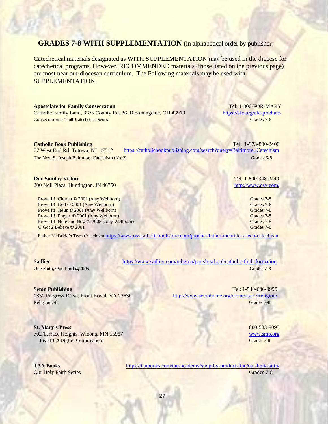## **GRADES 7-8 WITH SUPPLEMENTATION** (in alphabetical order by publisher)

Catechetical materials designated as WITH SUPPLEMENTATION may be used in the diocese for catechetical programs. However, RECOMMENDED materials (those listed on the previous page) are most near our diocesan curriculum. The Following materials may be used with SUPPLEMENTATION.

| <b>Apostolate for Family Consecration</b><br>Catholic Family Land, 3375 County Rd. 36, Bloomingdale, OH 43910<br><b>Consecration in Truth Catechetical Series</b>                                                                                       |                                                                     | Tel: 1-800-FOR-MARY<br>https://afc.org/afc-products<br>Grades 7-8                |
|---------------------------------------------------------------------------------------------------------------------------------------------------------------------------------------------------------------------------------------------------------|---------------------------------------------------------------------|----------------------------------------------------------------------------------|
| <b>Catholic Book Publishing</b>                                                                                                                                                                                                                         |                                                                     | Tel: 1-973-890-2400                                                              |
| 77 West End Rd, Totowa, NJ 07512                                                                                                                                                                                                                        | https://catholicbookpublishing.com/search?query=Baltimore+Catechism |                                                                                  |
| The New St Joseph Baltimore Catechism (No. 2)                                                                                                                                                                                                           |                                                                     | Grades 6-8                                                                       |
| <b>Our Sunday Visitor</b><br>200 Noll Plaza, Huntington, IN 46750                                                                                                                                                                                       |                                                                     | Tel: 1-800-348-2440<br>http://www.osv.com/                                       |
| Prove It! Church © 2001 (Amy Wellborn)<br>Prove It! God © 2001 (Amy Wellborn)<br>Prove It! Jesus © 2001 (Amy Wellborn)<br>Prove It! Prayer © 2001 (Amy Wellborn)<br><b>Prove It!</b> Here and Now © 2005 (Amy Wellborn)<br>U Got 2 Believe $\odot$ 2001 |                                                                     | Grades 7-8<br>Grades 7-8<br>Grades 7-8<br>Grades 7-8<br>Grades 7-8<br>Grades 7-8 |

Father McBride's Teen Catechism <https://www.osvcatholicbookstore.com/product/father-mcbride-s-teen-catechism>

Religion 7-8 Grades 7-8 Grades 7-8

## **St. Mary's Press** 800-533-8095

702 Terrace Heights, Winona, MN 55987 [www.smp.org](http://www.smp.org/) Live It! 2019 (Pre-Confirmation) Grades 7-8

**Sadlier <https://www.sadlier.com/religion/parish-school/catholic-faith-formation>** One Faith, One Lord @2009 Grades 7-8

**Seton Publishing** Tel: 1-540-636-9990 1350 Progress Drive, Front Royal, VA 22630 <http://www.setonhome.org/elementary/Religion/>

**TAN Books <https://tanbooks.com/tan-academy/shop-by-product-line/our-holy-faith/>** Our Holy Faith Series Grades 7-8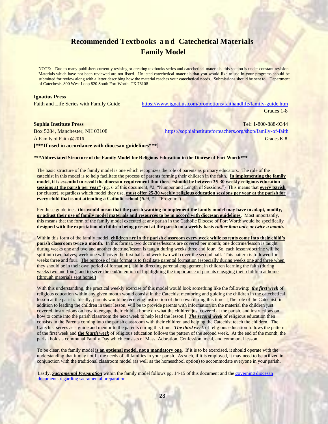## **Recommended Textbooks a n d Catechetical Materials Family Model**

NOTE: Due to many publishers currently revising or creating textbooks series and catechetical materials, this section is under constant revision. Materials which have not been reviewed are not listed. Unlisted catechetical materials that you would like to use in your programs should be submitted for review along with a letter describing how the material reaches your catechetical needs. Submissions should be sent to: Department of Catechesis, 800 West Loop 820 South Fort Worth, TX 76108

### **Ignatius Press**

Faith and Life Series with Family Guide <https://www.ignatius.com/promotions/faithandlife/family-guide.htm> Grades 1-8

### **Sophia Institute Press** Tel**:** 1-800-888-9344

Box 5284, Manchester, NH 03108 <https://sophiainstituteforteachers.org/shop/family-of-faith> A Family of Faith @2016 Grades K-8 **[\*\*\*If used in accordance with diocesan guidelines\*\*\*]**

### **\*\*\*Abbreviated Structure of the Family Model for Religious Education in the Diocese of Fort Worth\*\*\***

The basic structure of the family model is one which recognizes the role of parents as primary educators. The role of the catechist in this model is to help facilitate the process of parents forming their children in the faith. **In implementing the family model, it is essential to recall the diocesan requirement that there "should be between 25-30 weekly religious education sessions at the parish per year"** (pg. 6 of this document, #2, "Number and Length of Sessions.") This means that **every parish** (or cluster), regardless which model they use, **must offer 25-30 weekly religious education sessions per year at the parish for every child that is not attending a Catholic school** (*Ibid,* #1, "Program").

Per these guidelines, **this would mean that the parish wanting to implement the family model may have to adapt, modify, or adjust their use of family model materials and resources to be in accord with diocesan guidelines**. Most importantly, this means that the form of the family model executed at any parish in the Catholic Diocese of Fort Worth would be specifically designed with the expectation of children being present at the parish on a weekly basis *rather than once or twice a month*.

Within this form of the family model, children are in the parish classroom every week while parents come into their child's **parish classroom twice a month**. In this format, two doctrines/lessons are covered per month; one doctrine/lesson is taught during weeks one and two and another doctrine/lesson is taught during weeks three and four. So, each lesson/doctrine will be split into two halves; week one will cover the first half and week two will cover the second half. This pattern is followed for weeks three and four. The purpose of this format is to facilitate parental formation (especially during weeks one and three when they should be in their own period of formation), aid in directing parental engagement in children learning the faith (during weeks two and four), and to serve the end/intention of highlighting the importance of parents engaging their children at home (through materials sent home.)

With this understanding, the practical weekly exercise of this model would look something like the following: *the first week* of religious education within any given month would consist in the Catechist mentoring and guiding the children in the catechetical lesson at the parish. Ideally, parents would be receiving instruction of their own during this time. [The role of the Catechist, in addition to leading the children in their lesson, will be to provide parents with information on the material the children just covered, instructions on how to engage their child at home on what the children just covered at the parish, and instructions on how to come into the parish classroom the next week to help lead the lesson.] *The second week* of religious education then consists in the Parents coming into the parish classroom with their children and helping the Catechist teach the children. The Catechist serves as a guide and mentor to the parents during this time. *The third week* of religious education follows the pattern of the first week and **the** *fourth week* of religious education follows the pattern of the second week. At the end of the month, the parish holds a communal Family Day which consists of Mass, Adoration, Confession, meal, and communal lesson.

To be clear, the family model **is an optional model, not a mandatory one**. If it is to be exercised, it should operate with the understanding that it may not fit the needs of all families in your parish. As such, if it is employed, it may need to be utilized in conjunction with the traditional classroom model (as well as the homeschool option) to accommodate everyone in your parish.

Lastly, *Sacramental Preparation* within the family model follows pg. 14-15 of this document and the governing diocesan [documents regarding sacramental preparation.](https://fwdioc.org/sacramental-guidelines)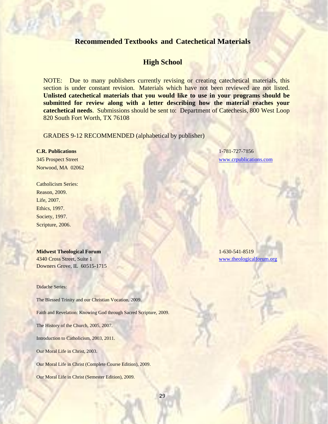## **Recommended Textbooks and Catechetical Materials**

## **High School**

NOTE: Due to many publishers currently revising or creating catechetical materials, this section is under constant revision. Materials which have not been reviewed are not listed. **Unlisted catechetical materials that you would like to use in your programs should be submitted for review along with a letter describing how the material reaches your catechetical needs**. Submissions should be sent to: Department of Catechesis, 800 West Loop 820 South Fort Worth, TX 76108

GRADES 9-12 RECOMMENDED (alphabetical by publisher)

Norwood, MA 02062

Catholicism Series: Reason, 2009. Life, 2007. Ethics, 1997. Society, 1997. Scripture, 2006.

**Midwest Theological Forum** 1-630-541-8519 4340 Cross Street, Suite 1 [www.theologicalforum.org](http://www.theologicalforum.org/) Downers Grove, IL 60515-1715

Didache Series:

The Blessed Trinity and our Christian Vocation, 2009.

Faith and Revelation: Knowing God through Sacred Scripture, 2009.

The History of the Church, 2005, 2007.

Introduction to Catholicism, 2003, 2011.

Our Moral Life in Christ, 2003.

Our Moral Life in Christ (Complete Course Edition), 2009.

Our Moral Life in Christ (Semester Edition), 2009.

**C.R. Publications** 1-781-727-7856 345 Prospect Street [www.crpublications.com](http://www.crpublications.com/)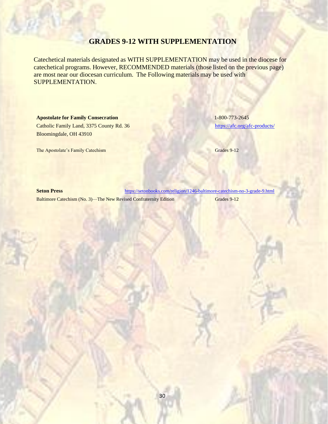## **GRADES 9-12 WITH SUPPLEMENTATION**

Catechetical materials designated as WITH SUPPLEMENTATION may be used in the diocese for catechetical programs. However, RECOMMENDED materials (those listed on the previous page) are most near our diocesan curriculum. The Following materials may be used with SUPPLEMENTATION.

## **Apostolate for Family Consecration** 1-800-773-2645

Catholic Family Land, 3375 County Rd. 36 [https://afc.org/a](https://afc.org/)fc-products/ Bloomingdale, OH 43910

The Apostolate's Family Catechism Grades 9-12

**Seton Press** <https://setonbooks.com/religion/1246-baltimore-catechism-no-3-grade-9.html>

Baltimore Catechism (No. 3)—The New Revised Confraternity Edition Grades 9-12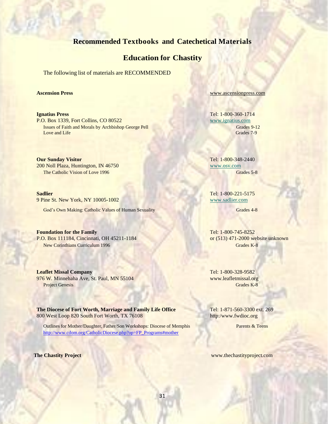## **Recommended Textbooks and Catechetical Materials**

## **Education for Chastity**

The following list of materials are RECOMMENDED

**Ignatius Press** Tel: 1-800-360-1714 P.O. Box 1339, Fort Collins, CO 80522 www.ignatius.com **Issues of Faith and Morals by Archbishop George Pell Grades 9-12** Grades 9-12 Love and Life Grades 7-9

**Our Sunday Visitor** Tel: 1-800-348-2440 200 Noll Plaza, Huntington, IN 46750 www.osv.com The Catholic Vision of Love 1996 Grades 5-8

**Sadlier** Tel: 1-800-221-5175 9 Pine St. New York, NY 10005-1002 www.sadlier.com

God's Own Making: Catholic Values of Human Sexuality Grades 4-8 Grades 4-8

**Foundation for the Family** Tel: 1-800-745-8252 P.O. Box 111184, Cincinnati, OH 45211-1184 or (513) 471-2000 website unknown New Corinthians Curriculum 1996 Grades K-8

**Leaflet Missal Company** Tel: 1-800-328-9582 976 W. Minnehaha Ave, St. Paul, MN 55104 www.leafletmissal.org Project Genesis Grades K-8

**The Diocese of Fort Worth, Marriage and Family Life Office** Tel: 1-871-560-3300 ext. 269 800 West Loop 820 South Fort Worth, TX 76108 http://www.fwdioc.org

Outlines for Mother/Daughter, Father/Son Workshops: Diocese of Memphis Parents & Teens [http://www.cdom.org/CatholicDiocese.php?op=FP\\_Programs#mother](http://www.cdom.org/CatholicDiocese.php?op=FP_Programs#mother)

**Ascension Press [www.ascensionpress.com](http://www.ascensionpress.com/)** 

**The Chastity Project** www.thechastityproject.com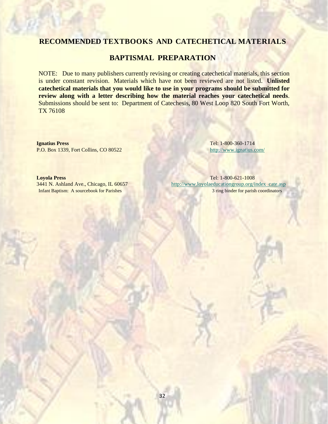## **BAPTISMAL PREPARATION**

NOTE: Due to many publishers currently revising or creating catechetical materials, this section is under constant revision. Materials which have not been reviewed are not listed. **Unlisted catechetical materials that you would like to use in your programs should be submitted for review along with a letter describing how the material reaches your catechetical needs**. Submissions should be sent to: Department of Catechesis, 80 West Loop 820 South Fort Worth, TX 76108

**Ignatius Press** Tel: 1-800-360-1714 P.O. Box 1339, Fort Collins, CO 80522 <http://www.ignatius.com/>

**Loyola Press** Tel: 1-800-621-1008 3441 N. Ashland Ave., Chicago, IL 60657 <http://www.loyolaeducationgroup.org/index> cate.asp Infant Baptism: A sourcebook for Parishes 3 ring binder for parish coordinators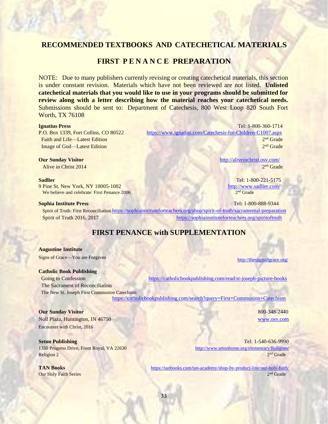## **FIRST P E N A N C E PREPARATION**

NOTE: Due to many publishers currently revising or creating catechetical materials, this section is under constant revision. Materials which have not been reviewed are not listed. **Unlisted catechetical materials that you would like to use in your programs should be submitted for review along with a letter describing how the material reaches your catechetical needs.** Submissions should be sent to: Department of Catechesis, 800 West Loop 820 South Fort Worth, TX 76108

Faith and Life—Latest Edition Image of God—Latest Edition

**Alive in Christ 2014** 

9 Pine St. New York, NY 10005-1002 <http://www.sadlier.com/> We believe and celebrate: First Penance 2006

**Ignatius Press** Tel: 1-800-360-1714 P.O. Box 1339, Fort Collins, CO 80522 <https://www.ignatius.com/Catechesis-for-Children-C1007.aspx> 2<sup>nd</sup> Grade  $2<sup>nd</sup>$  Grade

**Our Sunday Visitor** <http://aliveinchrist.osv.com/>  $2<sup>nd</sup>$  Grade

**Sadlier Tel: 1-800-221-5175**  $2<sup>nd</sup>$  Grade

**Sophia Institute Press** Tel**:** 1-800-888-9344 Spirit of Truth: First Reconciliation <https://sophiainstituteforteachers.org/shop/spirit-of-truth/sacramental-preparation> Spirit of Truth 2016, 2017 <https://sophiainstituteforteachers.org/spiritoftruth>

## **FIRST PENANCE with SUPPLEMENTATION**

**Augustine Institute**

Signs of Grace—You are Forgiven <http://thesignsofgrace.org/>

### **Catholic Book Publishing**

Going to Confession <https://catholicbookpublishing.com/read/st-joseph-picture-books> The Sacrament of Reconciliation The New St. Joseph First Communion Catechism

<https://catholicbookpublishing.com/search?query=First+Communion+Catechism>

### **Our Sunday Visitor 800-348-2440 800-348-2440**

Noll Plaza, Huntington, IN 46750 [www.osv.com](http://www.osv.com/) Encounter with Christ, 2016

Religion 2 2

**Our Holy Faith Series** 

**Seton Publishing** Tel: 1-540-636-9990 1350 Progress Drive, Front Royal, VA 22630 <http://www.setonhome.org/elementary/Religion/>  $2<sup>nd</sup>$  Grade

**TAN Books <https://tanbooks.com/tan-academy/shop-by-product-line/our-holy-faith/>**  $2<sup>nd</sup>$  Grade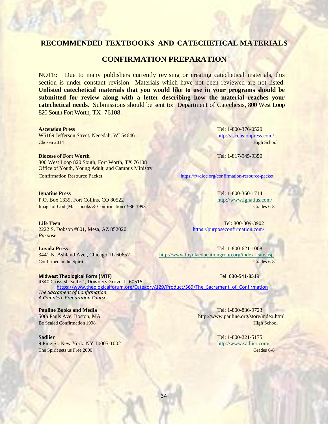## **CONFIRMATION PREPARATION**

NOTE: Due to many publishers currently revising or creating catechetical materials, this section is under constant revision. Materials which have not been reviewed are not listed. **Unlisted catechetical materials that you would like to use in your programs should be submitted for review along with a letter describing how the material reaches your catechetical needs.** Submissions should be sent to: Department of Catechesis, 800 West Loop 820 South Fort Worth, TX 76108.

W5169 Jefferson Street, Necedah, WI 54646 <http://ascensionpress.com/> **Chosen 2014 High School** 

# **Diocese of Fort Worth** Tel: 1-817-945-9350

800 West Loop 820 South, Fort Worth, TX 76108 Office of Youth, Young Adult, and Campus Ministry Confirmation Resource Packet <https://fwdioc.org/confirmation-resource-packet>

P.O. Box 1339, Fort Collins, CO 80522 <http://www.ignatius.com/> Image of God (Mass books & Confirmation)1986-1993 Grades 6-8

**Life Teen** Tel: 800-809-3902 2222 S. Dobson #601, Mesa, AZ 852020 <https://purposeconfirmation.com/> *Purpose*

**Ascension Press** Tel: 1-800-376-0520

**Ignatius Press** Tel: 1-800-360-1714

**Loyola Press** Tel: 1-800-621-1008 3441 N. Ashland Ave., Chicago, IL 60657 <http://www.loyolaeducationgroup.org/index> cate.asp **Confirmed in the Spirit Grades 6-8** Grades 6-8

**Midwest Theological Form (MTF)** Tel: 630-541-8519 4340 Cross St. Suite 1, Downers Grove, IL 60515 https://www.theologicalforum.org/Category/129/Product/569/The Sacrament of Confirmation *The Sacrament of Confirmation: A Complete Preparation Course*

**Pauline Books and Media** Tel: 1-800-836-9723

## **Sadlier** Tel: 1-800-221-5175 9 Pine St. New York, NY 10005-1002 <http://www.sadlier.com/>

50th Pauls Ave, Boston, MA <http://www.pauline.org/store/index.html> Be Sealed Confirmation 1998 **High School** 

The Spirit sets us Free 2000 Grades 6-8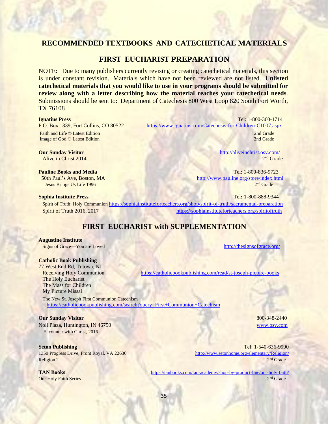## **FIRST EUCHARIST PREPARATION**

NOTE: Due to many publishers currently revising or creating catechetical materials, this section is under constant revision. Materials which have not been reviewed are not listed. **Unlisted catechetical materials that you would like to use in your programs should be submitted for review along with a letter describing how the material reaches your catechetical needs**. Submissions should be sent to: Department of Catechesis 800 West Loop 820 South Fort Worth, TX 76108

Image of God © Latest Edition

**Alive in Christ 2014** 

Jesus Brings Us Life 1996

**Ignatius Press** Tel: 1-800-360-1714 P.O. Box 1339, Fort Collins, CO 80522 <https://www.ignatius.com/Catechesis-for-Children-C1007.aspx> **Faith and Life © Latest Edition 2nd Grade** 2nd Grade 2nd Grade 2nd Grade 2nd Grade 2nd Grade 2nd Grade 2nd Grade 2nd Grade 2nd Grade 2nd Grade 2nd Grade 2nd Grade 2nd Grade 2nd Grade 2nd Grade 2nd Grade 2nd Grade 2nd Grad

2nd Grade

**Our Sunday Visitor** <http://aliveinchrist.osv.com/>  $2<sup>nd</sup>$  Grade

**Pauline Books and Media** Tel: 1-800-836-9723 50th Paul's Ave, Boston, MA <http://www.pauline.org/store/index.html> 2<sup>nd</sup> Grade

**Sophia Institute Press** Tel**:** 1-800-888-9344 Spirit of Truth: Holy Communion <https://sophiainstituteforteachers.org/shop/spirit-of-truth/sacramental-preparation> Spirit of Truth 2016, 2017 **<https://sophiainstituteforteachers.org/spiritoftruth>** 

## **FIRST EUCHARIST with SUPPLEMENTATION**

### **Augustine Institute**

Signs of Grace—You are Loved <http://thesignsofgrace.org/>

### **Catholic Book Publishing**

77 West End Rd, Totowa, NJ The Holy Eucharist The Mass for Children My Picture Missal

 The New St. Joseph First Communion Catechism <https://catholicbookpublishing.com/search?query=First+Communion+Catechism>

### **Our Sunday Visitor 800-348-2440 800-348-2440**

Noll Plaza, Huntington, IN 46750 [www.osv.com](http://www.osv.com/) Encounter with Christ, 2016

Religion 2 2

**Our Holy Faith Series** 

Receiving Holy Communion <https://catholicbookpublishing.com/read/st-joseph-picture-books>

**Seton Publishing Tel: 1-540-636-9990** 1350 Progress Drive, Front Royal, VA 22630 <http://www.setonhome.org/elementary/Religion/>  $2<sup>nd</sup>$  Grade

**TAN Books <https://tanbooks.com/tan-academy/shop-by-product-line/our-holy-faith/>**  $2<sup>nd</sup>$  Grade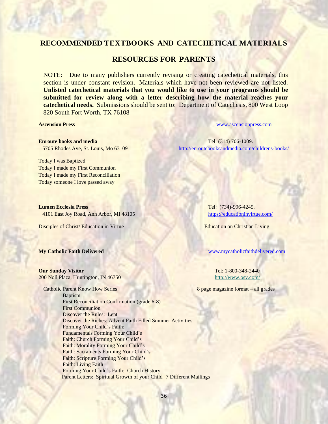## **RESOURCES FOR PARENTS**

NOTE: Due to many publishers currently revising or creating catechetical materials, this section is under constant revision. Materials which have not been reviewed are not listed. **Unlisted catechetical materials that you would like to use in your programs should be submitted for review along with a letter describing how the material reaches your catechetical needs.** Submissions should be sent to: Department of Catechesis, 800 West Loop 820 South Fort Worth, TX 76108

**Ascension Press** [www.ascensionpress.com](http://www.ascensionpress.com/)

**Enroute books and media Tel: (314) 706-1009. Tel: (314) 706-1009.** 5705 Rhodes Ave, St. Louis, Mo 63109 <http://enroutebooksandmedia.com/childrens-books/>

Today I was Baptized Today I made my First Communion

Today I made my First Reconciliation Today someone I love passed away

**Lumen Ecclesia Press Tel: (734)-996-4245.** 4101 East Joy Road, Ann Arbor, MI 48105 <https://educationinvirtue.com/>

Disciples of Christ/ Education in Virtue **Education on Christian Living** 

### **Our Sunday Visitor** Tel: 1-800-348-2440

200 Noll Plaza, Huntington, IN 46750 <http://www.osv.com/>

Catholic Parent Know How Series 8 page magazine format – all grades Baptism First Reconciliation Confirmation (grade 6-8) First Communion Discover the Rules: Lent Discover the Riches: Advent Faith Filled Summer Activities Forming Your Child's Faith: Fundamentals Forming Your Child's Faith: Church Forming Your Child's Faith: Morality Forming Your Child's Faith: Sacraments Forming Your Child's Faith: Scripture Forming Your Child's Faith: Living Faith Forming Your Child's Faith: Church History Parent Letters: Spiritual Growth of your Child 7 Different Mailings

**My Catholic Faith Delivered** [www.mycatholicfaithdelivered.com](http://www.mycatholicfaithdelivered.com/)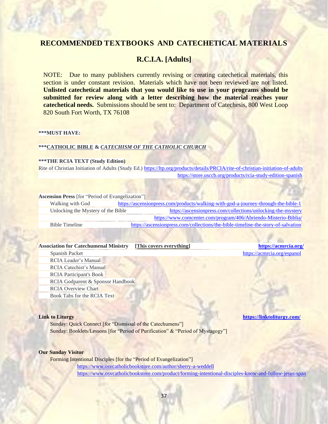## **R.C.I.A. [Adults]**

NOTE: Due to many publishers currently revising or creating catechetical materials, this section is under constant revision. Materials which have not been reviewed are not listed. **Unlisted catechetical materials that you would like to use in your programs should be submitted for review along with a letter describing how the material reaches your catechetical needs.** Submissions should be sent to: Department of Catechesis, 800 West Loop 820 South Fort Worth, TX 76108

### **\*\*\*MUST HAVE:**

### **\*\*\*CATHOLIC BIBLE &** *CATECHISM OF THE CATHOLIC CHURCH*

### **\*\*\*THE RCIA TEXT (Study Edition)**

Rite of Christian Initiation of Adults (Study Ed.)<https://ltp.org/products/details/PRCIA/rite-of-christian-initiation-of-adults> <https://store.usccb.org/products/rcia-study-edition-spanish>

### **Ascension Press** [for "Period of Evangelization"]

Walking with God <https://ascensionpress.com/products/walking-with-god-a-journey-through-the-bible-1> Unlocking the Mystery of the Bible <https://ascensionpress.com/collections/unlocking-the-mystery> <https://www.comcenter.com/program/406/Abriendo-Misterio-Biblia/> Bible Timeline <https://ascensionpress.com/collections/the-bible-timeline-the-story-of-salvation>

### **Association for Catechumenal Ministry [This covers everything] <https://acmrcia.org/>**

**Spanish Packet <https://acmrcia.org/espanol>** RCIA Leader's Manual RCIA Catechist's Manual RCIA Participant's Book RCIA Godparent & Sponsor Handbook RCIA Overview Chart Book Tabs for the RCIA Text

Sunday: Quick Connect [for "Dismissal of the Catechumens"] Sunday: Booklets/Lessons [for "Period of Purification" & "Period of Mystagogy"]

### **Our Sunday Visitor**

Forming Intentional Disciples [for the "Period of Evangelization"] <https://www.osvcatholicbookstore.com/author/sherry-a-weddell> <https://www.osvcatholicbookstore.com/product/forming-intentional-disciples-know-and-follow-jesus-span>

**Link to Liturgy <https://linktoliturgy.com/>**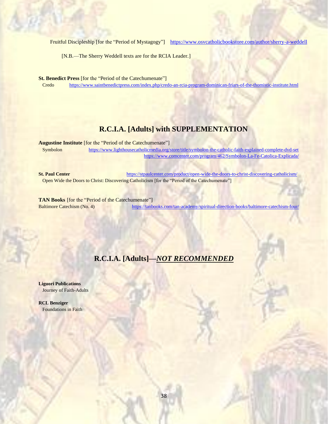Fruitful Discipleship [for the "Period of Mystagogy"] <https://www.osvcatholicbookstore.com/author/sherry-a-weddell>

[N.B.—The Sherry Weddell texts are for the RCIA Leader.]

**St. Benedict Press** [for the "Period of the Catechumenate"]

Credo <https://www.saintbenedictpress.com/index.php/credo-an-rcia-program-dominican-friars-of-the-thomistic-institute.html>

## **R.C.I.A. [Adults] with SUPPLEMENTATION**

**Augustine Institute** [for the "Period of the Catechumenate"]

Symbolon <https://www.lighthousecatholicmedia.org/store/title/symbolon-the-catholic-faith-explained-complete-dvd-set> <https://www.comcenter.com/program/462/Symbolon-La-Fe-Catolica-Explicada/>

**St. Paul Center** <https://stpaulcenter.com/product/open-wide-the-doors-to-christ-discovering-catholicism/> Open Wide the Doors to Christ: Discovering Catholicism [for the "Period of the Catechumenate"]

**TAN Books** [for the "Period of the Catechumenate"] Baltimore Catechism (No. 4) <https://tanbooks.com/tan-academy/spiritual-direction-books/baltimore-catechism-four/>

## **R.C.I.A. [Adults]—***NOT RECOMMENDED*

**Liguori Publications** Journey of Faith-Adults

**RCL Benziger** Foundations in Faith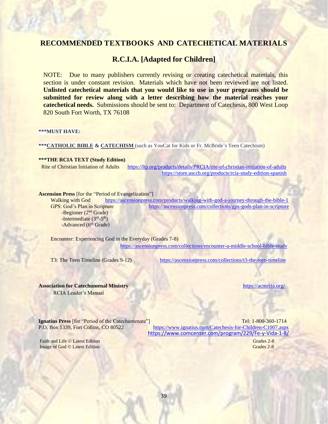## **R.C.I.A. [Adapted for Children]**

NOTE: Due to many publishers currently revising or creating catechetical materials, this section is under constant revision. Materials which have not been reviewed are not listed. **Unlisted catechetical materials that you would like to use in your programs should be submitted for review along with a letter describing how the material reaches your catechetical needs.** Submissions should be sent to: Department of Catechesis, 800 West Loop 820 South Fort Worth, TX 76108

### **\*\*\*MUST HAVE:**

**\*\*\*CATHOLIC BIBLE & CATECHISM** (such as YouCat for Kids or Fr. McBride's Teen Catechism)

**\*\*\*THE RCIA TEXT (Study Edition)**

Rite of Christian Initiation of Adults <https://ltp.org/products/details/PRCIA/rite-of-christian-initiation-of-adults> <https://store.usccb.org/products/rcia-study-edition-spanish>

### **Ascension Press** [for the "Period of Evangelization"]

Walking with God <https://ascensionpress.com/products/walking-with-god-a-journey-through-the-bible-1> GPS: God's Plan in Scripture <https://ascensionpress.com/collections/gps-gods-plan-in-scripture>  $-$ Beginner ( $2<sup>nd</sup>$  Grade)  $\frac{1}{2}$ -Intermediate (3<sup>rd</sup>-5<sup>th</sup>) -Advanced (6<sup>th</sup> Grade)

 Encounter: Experiencing God in the Everyday (Grades 7-8) <https://ascensionpress.com/collections/encounter-a-middle-school-bible-study>

T3: The Teen Timeline (Grades 9-12) <https://ascensionpress.com/collections/t3-the-teen-timeline>

### **Association for Catechumenal Ministry <https://acmrcia.org/>** https://acmrcia.org/

RCIA Leader's Manual

**Ignatius Press** [for "Period of the Catechumenate"] Tel: 1-800-360-1714

P.O. Box 1339, Fort Collins, CO 80522 <https://www.ignatius.com/Catechesis-for-Children-C1007.aspx> <https://www.comcenter.com/program/229/Fe-y-Vida-1-8/>

Faith and Life © Latest Edition Grades 2-8 Image of God © Latest Edition

Grades 2-8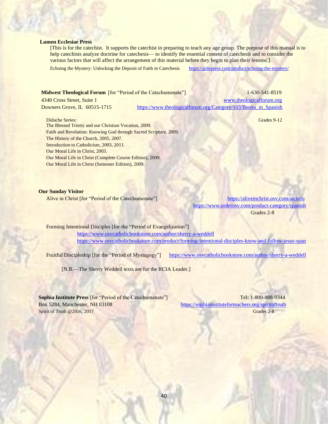### **Lumen Ecclesiae Press**

[This is for the catechist. It supports the catechist in preparing to teach any age group. The purpose of this manual is to help catechists analyze doctrine for catechesis— to identify the essential content of catechesis and to consider the various factors that will affect the arrangement of this material before they begin to plan their lessons.]

Echoing the Mystery: Unlocking the Deposit of Faith in Catechesis <https://golepress.com/product/echoing-the-mystery/>

| <b>Midwest Theological Forum</b> [for "Period of the Catechumenate"] | $1-630-541-8519$                                               |
|----------------------------------------------------------------------|----------------------------------------------------------------|
| 4340 Cross Street, Suite 1                                           | www.theologicalforum.org                                       |
| Downers Grove, IL $60515-1715$                                       | https://www.theologicalforum.org/Category/103/Books_in_Spanish |

Didache Series: Grades 9-12

The Blessed Trinity and our Christian Vocation, 2009. Faith and Revelation: Knowing God through Sacred Scripture, 2009. The History of the Church, 2005, 2007. Introduction to Catholicism, 2003, 2011. Our Moral Life in Christ, 2003. Our Moral Life in Christ (Complete Course Edition), 2009. Our Moral Life in Christ (Semester Edition), 2009.

### **Our Sunday Visitor**

Alive in Christ [for "Period of the Catechumenate"] <https://aliveinchrist.osv.com/aicinfo> <https://www.orderosv.com/product-category/spanish> Grades 2-8

Forming Intentional Disciples [for the "Period of Evangelization"]

 <https://www.osvcatholicbookstore.com/author/sherry-a-weddell> <https://www.osvcatholicbookstore.com/product/forming-intentional-disciples-know-and-follow-jesus-span>

Fruitful Discipleship [for the "Period of Mystagogy"] <https://www.osvcatholicbookstore.com/author/sherry-a-weddell>

[N.B.—The Sherry Weddell texts are for the RCIA Leader.]

**Sophia Institute Press** [for "Period of the Catechumenate"]Tel**:** 1-800-888-9344 Box 5284, Manchester, NH 03108 <https://sophiainstituteforteachers.org/spiritoftruth> Spirit of Truth @2016, 2017 Grades 2-8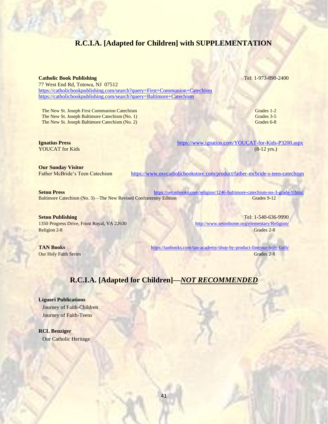## **R.C.I.A. [Adapted for Children] with SUPPLEMENTATION**

### **Catholic Book Publishing Tel: 1-973-890-2400**

77 West End Rd, Totowa, NJ 07512 <https://catholicbookpublishing.com/search?query=First+Communion+Catechism> <https://catholicbookpublishing.com/search?query=Baltimore+Catechism>

The New St. Joseph First Communion Catechism Grades 1-2 The New St. Joseph Baltimore Catechism (No. 1) Grades 3-5 The New St. Joseph Baltimore Catechism (No. 2) Grades 6-8

**Ignatius Press** <https://www.ignatius.com/YOUCAT-for-Kids-P3200.aspx> YOUCAT for Kids (8-12 yrs.)

**Our Sunday Visitor**

Father McBride's Teen Catechism <https://www.osvcatholicbookstore.com/product/father-mcbride-s-teen-catechism>

**Seton Press <https://setonbooks.com/religion/1246-baltimore-catechism-no-3-grade-9.html>** Baltimore Catechism (No. 3)—The New Revised Confraternity Edition Grades 9-12

Religion 2-8 Grades 2-8

**Seton Publishing** Tel: 1-540-636-9990 1350 Progress Drive, Front Royal, VA 22630 <http://www.setonhome.org/elementary/Religion/>

**TAN Books** <https://tanbooks.com/tan-academy/shop-by-product-line/our-holy-faith/> **Our Holy Faith Series** Grades 2-8

## **R.C.I.A. [Adapted for Children]—***NOT RECOMMENDED*

**Liguori Publications** Journey of Faith-Children Journey of Faith-Teens

**RCL Benziger** Our Catholic Heritage